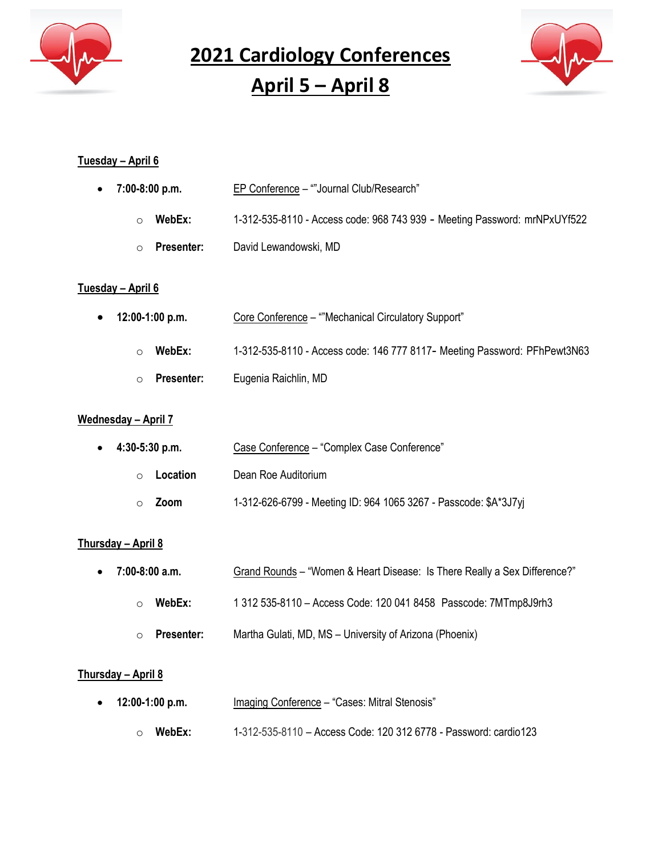

**2021 Cardiology Conferences**

**April 5 – April 8**



#### **Tuesday – April 6**

| 7:00-8:00 p.m.<br>$\bullet$     | EP Conference - ""Journal Club/Research"                                   |
|---------------------------------|----------------------------------------------------------------------------|
| WebEx:<br>$\bigcirc$            | 1-312-535-8110 - Access code: 968 743 939 - Meeting Password: mrNPxUYf522  |
| <b>Presenter:</b><br>$\bigcirc$ | David Lewandowski, MD                                                      |
| <u>Tuesday – April 6</u>        |                                                                            |
| 12:00-1:00 p.m.<br>$\bullet$    | Core Conference - ""Mechanical Circulatory Support"                        |
| WebEx:<br>$\circ$               | 1-312-535-8110 - Access code: 146 777 8117 - Meeting Password: PFhPewt3N63 |
| <b>Presenter:</b><br>$\circ$    | Eugenia Raichlin, MD                                                       |

#### **Wednesday – April 7**

| $\bullet$ 4:30-5:30 p.m. | Case Conference - "Complex Case Conference"                      |
|--------------------------|------------------------------------------------------------------|
| Location<br>$\bigcap$    | Dean Roe Auditorium                                              |
| Zoom                     | 1-312-626-6799 - Meeting ID: 964 1065 3267 - Passcode: \$A*3J7yj |

## **Thursday – April 8**

- **7:00-8:00 a.m.** Grand Rounds "Women & Heart Disease: Is There Really a Sex Difference?" o **WebEx:** 1 312 535-8110 – Access Code: 120 041 8458 Passcode: 7MTmp8J9rh3
	- o **Presenter:** Martha Gulati, MD, MS University of Arizona (Phoenix)

#### **Thursday – April 8**

- **12:00-1:00 p.m.** Imaging Conference "Cases: Mitral Stenosis"
	- o **WebEx:** 1-312-535-8110 Access Code: 120 312 6778 Password: cardio123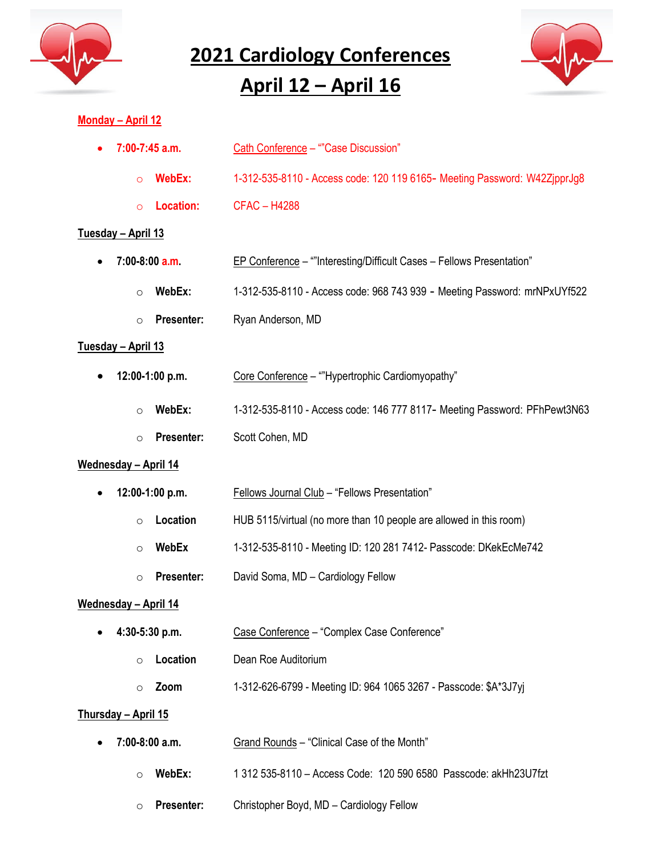

**2021 Cardiology Conferences**

# **April 12 – April 16**



### **Monday – April 12**

| $7:00-7:45$ a.m.              | Cath Conference - ""Case Discussion"                                      |
|-------------------------------|---------------------------------------------------------------------------|
| WebEx:<br>$\circ$             | 1-312-535-8110 - Access code: 120 119 6165- Meeting Password: W42ZjpprJg8 |
| Location:<br>$\Omega$         | <b>CFAC-H4288</b>                                                         |
| <u> Tuesday – April 13</u>    |                                                                           |
| $7:00-8:00$ a.m.<br>$\bullet$ | EP Conference - ""Interesting/Difficult Cases - Fellows Presentation"     |
| WebEx:<br>$\circ$             | 1-312-535-8110 - Access code: 968 743 939 - Meeting Password: mrNPxUYf522 |
| <b>Presenter:</b><br>$\circ$  | Ryan Anderson, MD                                                         |
| <u> Tuesday – April 13</u>    |                                                                           |
| 12:00-1:00 p.m.               | Core Conference - ""Hypertrophic Cardiomyopathy"                          |
| WebEx:<br>$\circ$             | 1-312-535-8110 - Access code: 146 777 8117- Meeting Password: PFhPewt3N63 |
| Presenter:<br>$\circ$         | Scott Cohen, MD                                                           |
| <u> Wednesday – April 14</u>  |                                                                           |
| 12:00-1:00 p.m.               | Fellows Journal Club - "Fellows Presentation"                             |
| Location<br>$\circ$           | HUB 5115/virtual (no more than 10 people are allowed in this room)        |
| WebEx<br>$\circ$              | 1-312-535-8110 - Meeting ID: 120 281 7412- Passcode: DKekEcMe742          |
| Presenter:<br>$\circ$         | David Soma, MD - Cardiology Fellow                                        |
| <u> Wednesday – April 14</u>  |                                                                           |
| 4:30-5:30 p.m.                | Case Conference - "Complex Case Conference"                               |
| Location<br>$\circ$           | Dean Roe Auditorium                                                       |
| Zoom<br>$\circ$               | 1-312-626-6799 - Meeting ID: 964 1065 3267 - Passcode: \$A*3J7yj          |
| Thursday - April 15           |                                                                           |
| 7:00-8:00 a.m.                | Grand Rounds - "Clinical Case of the Month"                               |
| WebEx:<br>$\circ$             | 1 312 535-8110 - Access Code: 120 590 6580 Passcode: akHh23U7fzt          |
| Presenter:<br>$\circ$         | Christopher Boyd, MD - Cardiology Fellow                                  |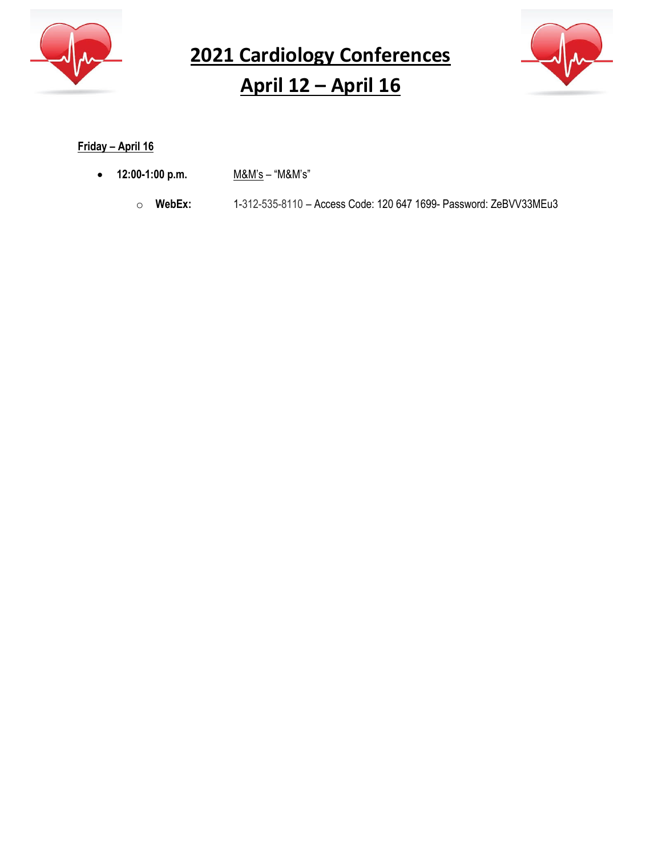

**2021 Cardiology Conferences April 12 – April 16**



# **Friday – April 16**

- **12:00-1:00 p.m.** M&M's "M&M's"
	- o **WebEx:** 1-312-535-8110 Access Code: 120 647 1699- Password: ZeBVV33MEu3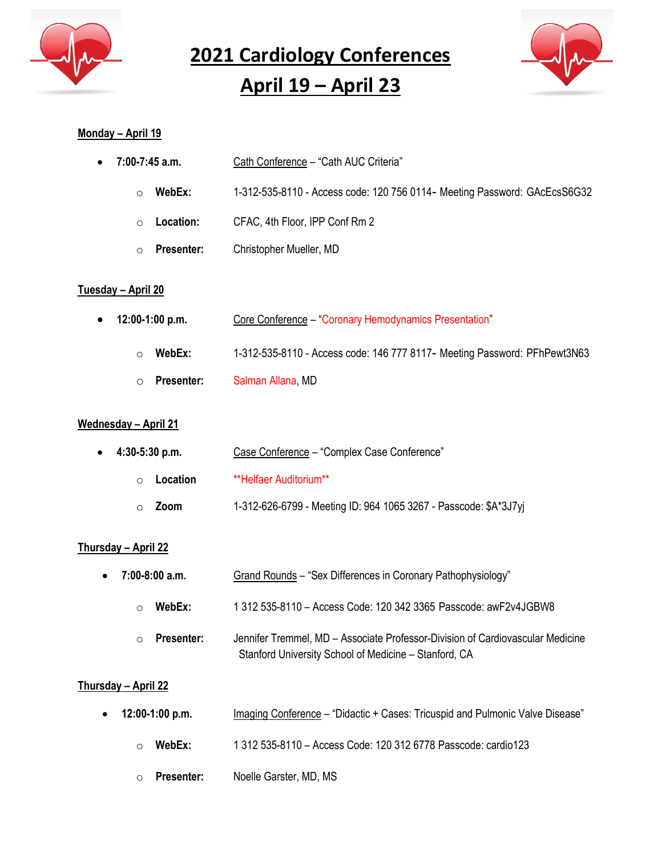

**2021 Cardiology Conferences April 19 – April 23**



#### **Monday – April 19**

| $\bullet$ 7:00-7:45 a.m. | Cath Conference - "Cath AUC Criteria"                                      |
|--------------------------|----------------------------------------------------------------------------|
| WebEx:                   | 1-312-535-8110 - Access code: 120 756 0114 - Meeting Password: GAcEcsS6G32 |

- o **Location:** CFAC, 4th Floor, IPP Conf Rm 2
- o **Presenter:** Christopher Mueller, MD

#### **Tuesday – April 20**

- **12:00-1:00 p.m.** Core Conference "Coronary Hemodynamics Presentation"
	- o **WebEx:** 1-312-535-8110 Access code: 146 777 8117- Meeting Password: PFhPewt3N63
	- o **Presenter:** Salman Allana, MD

#### **Wednesday – April 21**

| $\bullet$ 4:30-5:30 p.m. | Case Conference - "Complex Case Conference"                      |
|--------------------------|------------------------------------------------------------------|
| Location<br>$\cap$       | **Helfaer Auditorium**                                           |
| Zoom                     | 1-312-626-6799 - Meeting ID: 964 1065 3267 - Passcode: \$A*3J7yj |

#### **Thursday – April 22**

| 7:00-8:00 a.m.          | Grand Rounds - "Sex Differences in Coronary Pathophysiology"                                                                            |
|-------------------------|-----------------------------------------------------------------------------------------------------------------------------------------|
| WebEx:<br>$\cap$        | 1 312 535-8110 - Access Code: 120 342 3365 Passcode: awF2v4JGBW8                                                                        |
| Presenter:<br>$\bigcap$ | Jennifer Tremmel, MD - Associate Professor-Division of Cardiovascular Medicine<br>Stanford University School of Medicine – Stanford, CA |

#### **Thursday – April 22**

- **12:00-1:00 p.m.** Imaging Conference "Didactic + Cases: Tricuspid and Pulmonic Valve Disease"
	- o **WebEx:** 1 312 535-8110 Access Code: 120 312 6778 Passcode: cardio123
	- o **Presenter:** Noelle Garster, MD, MS